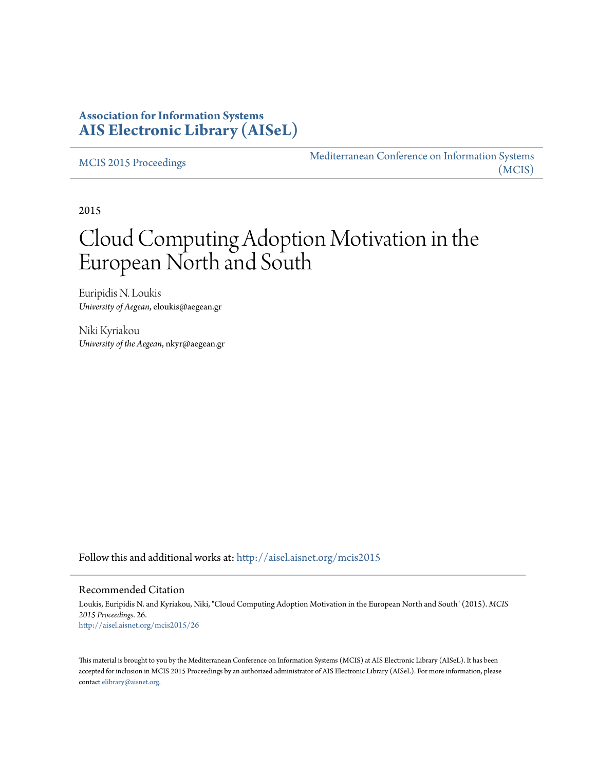# **Association for Information Systems [AIS Electronic Library \(AISeL\)](http://aisel.aisnet.org?utm_source=aisel.aisnet.org%2Fmcis2015%2F26&utm_medium=PDF&utm_campaign=PDFCoverPages)**

[MCIS 2015 Proceedings](http://aisel.aisnet.org/mcis2015?utm_source=aisel.aisnet.org%2Fmcis2015%2F26&utm_medium=PDF&utm_campaign=PDFCoverPages)

[Mediterranean Conference on Information Systems](http://aisel.aisnet.org/mcis?utm_source=aisel.aisnet.org%2Fmcis2015%2F26&utm_medium=PDF&utm_campaign=PDFCoverPages) [\(MCIS\)](http://aisel.aisnet.org/mcis?utm_source=aisel.aisnet.org%2Fmcis2015%2F26&utm_medium=PDF&utm_campaign=PDFCoverPages)

2015

# Cloud Computing Adoption Motivation in the European North and South

Euripidis N. Loukis *University of Aegean*, eloukis@aegean.gr

Niki Kyriakou *University of the Aegean*, nkyr@aegean.gr

Follow this and additional works at: [http://aisel.aisnet.org/mcis2015](http://aisel.aisnet.org/mcis2015?utm_source=aisel.aisnet.org%2Fmcis2015%2F26&utm_medium=PDF&utm_campaign=PDFCoverPages)

#### Recommended Citation

Loukis, Euripidis N. and Kyriakou, Niki, "Cloud Computing Adoption Motivation in the European North and South" (2015). *MCIS 2015 Proceedings*. 26. [http://aisel.aisnet.org/mcis2015/26](http://aisel.aisnet.org/mcis2015/26?utm_source=aisel.aisnet.org%2Fmcis2015%2F26&utm_medium=PDF&utm_campaign=PDFCoverPages)

This material is brought to you by the Mediterranean Conference on Information Systems (MCIS) at AIS Electronic Library (AISeL). It has been accepted for inclusion in MCIS 2015 Proceedings by an authorized administrator of AIS Electronic Library (AISeL). For more information, please contact [elibrary@aisnet.org.](mailto:elibrary@aisnet.org%3E)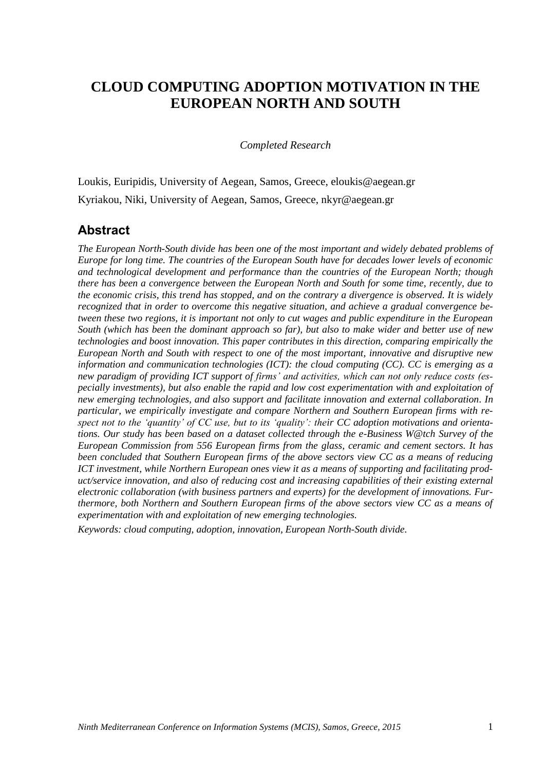# **CLOUD COMPUTING ADOPTION MOTIVATION IN THE EUROPEAN NORTH AND SOUTH**

*Completed Research*

Loukis, Euripidis, University of Aegean, Samos, Greece, eloukis@aegean.gr Kyriakou, Niki, University of Aegean, Samos, Greece, nkyr@aegean.gr

### **Abstract**

*The European North-South divide has been one of the most important and widely debated problems of Europe for long time. The countries of the European South have for decades lower levels of economic and technological development and performance than the countries of the European North; though there has been a convergence between the European North and South for some time, recently, due to the economic crisis, this trend has stopped, and on the contrary a divergence is observed. It is widely recognized that in order to overcome this negative situation, and achieve a gradual convergence between these two regions, it is important not only to cut wages and public expenditure in the European South (which has been the dominant approach so far), but also to make wider and better use of new technologies and boost innovation. This paper contributes in this direction, comparing empirically the European North and South with respect to one of the most important, innovative and disruptive new information and communication technologies (ICT): the cloud computing (CC). CC is emerging as a new paradigm of providing ICT support of firms' and activities, which can not only reduce costs (especially investments), but also enable the rapid and low cost experimentation with and exploitation of new emerging technologies, and also support and facilitate innovation and external collaboration. In particular, we empirically investigate and compare Northern and Southern European firms with respect not to the 'quantity' of CC use, but to its 'quality': their CC adoption motivations and orientations. Our study has been based on a dataset collected through the e-Business W@tch Survey of the European Commission from 556 European firms from the glass, ceramic and cement sectors. It has been concluded that Southern European firms of the above sectors view CC as a means of reducing ICT investment, while Northern European ones view it as a means of supporting and facilitating product/service innovation, and also of reducing cost and increasing capabilities of their existing external electronic collaboration (with business partners and experts) for the development of innovations. Furthermore, both Northern and Southern European firms of the above sectors view CC as a means of experimentation with and exploitation of new emerging technologies.* 

*Keywords: cloud computing, adoption, innovation, European North-South divide.*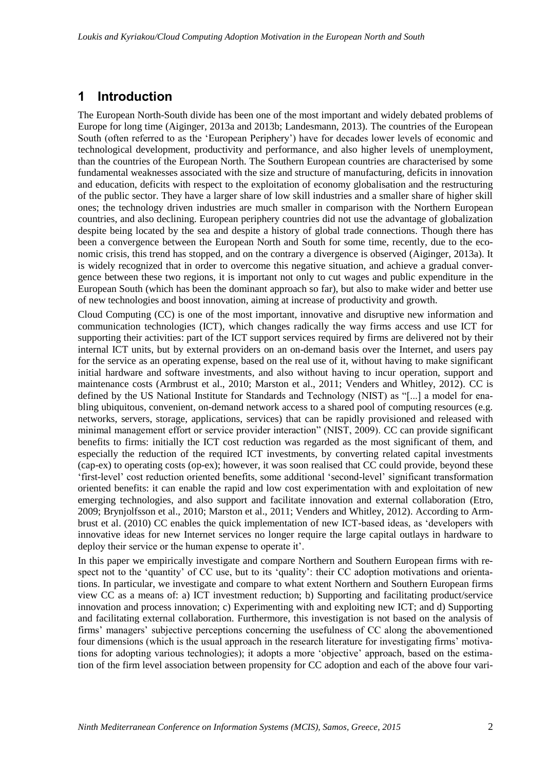# **1 Introduction**

The European North-South divide has been one of the most important and widely debated problems of Europe for long time (Aiginger, 2013a and 2013b; Landesmann, 2013). The countries of the European South (often referred to as the 'European Periphery') have for decades lower levels of economic and technological development, productivity and performance, and also higher levels of unemployment, than the countries of the European North. The Southern European countries are characterised by some fundamental weaknesses associated with the size and structure of manufacturing, deficits in innovation and education, deficits with respect to the exploitation of economy globalisation and the restructuring of the public sector. They have a larger share of low skill industries and a smaller share of higher skill ones; the technology driven industries are much smaller in comparison with the Northern European countries, and also declining. European periphery countries did not use the advantage of globalization despite being located by the sea and despite a history of global trade connections. Though there has been a convergence between the European North and South for some time, recently, due to the economic crisis, this trend has stopped, and on the contrary a divergence is observed (Aiginger, 2013a). It is widely recognized that in order to overcome this negative situation, and achieve a gradual convergence between these two regions, it is important not only to cut wages and public expenditure in the European South (which has been the dominant approach so far), but also to make wider and better use of new technologies and boost innovation, aiming at increase of productivity and growth.

Cloud Computing (CC) is one of the most important, innovative and disruptive new information and communication technologies (ICT), which changes radically the way firms access and use ICT for supporting their activities: part of the ICT support services required by firms are delivered not by their internal ICT units, but by external providers on an on-demand basis over the Internet, and users pay for the service as an operating expense, based on the real use of it, without having to make significant initial hardware and software investments, and also without having to incur operation, support and maintenance costs (Armbrust et al., 2010; Marston et al., 2011; Venders and Whitley, 2012). CC is defined by the US National Institute for Standards and Technology (NIST) as "[...] a model for enabling ubiquitous, convenient, on-demand network access to a shared pool of computing resources (e.g. networks, servers, storage, applications, services) that can be rapidly provisioned and released with minimal management effort or service provider interaction" (NIST, 2009). CC can provide significant benefits to firms: initially the ICT cost reduction was regarded as the most significant of them, and especially the reduction of the required ICT investments, by converting related capital investments (cap-ex) to operating costs (op-ex); however, it was soon realised that CC could provide, beyond these 'first-level' cost reduction oriented benefits, some additional 'second-level' significant transformation oriented benefits: it can enable the rapid and low cost experimentation with and exploitation of new emerging technologies, and also support and facilitate innovation and external collaboration (Etro, 2009; Brynjolfsson et al., 2010; Marston et al., 2011; Venders and Whitley, 2012). According to Armbrust et al. (2010) CC enables the quick implementation of new ICT-based ideas, as 'developers with innovative ideas for new Internet services no longer require the large capital outlays in hardware to deploy their service or the human expense to operate it'.

In this paper we empirically investigate and compare Northern and Southern European firms with respect not to the 'quantity' of CC use, but to its 'quality': their CC adoption motivations and orientations. In particular, we investigate and compare to what extent Northern and Southern European firms view CC as a means of: a) ICT investment reduction; b) Supporting and facilitating product/service innovation and process innovation; c) Experimenting with and exploiting new ICT; and d) Supporting and facilitating external collaboration. Furthermore, this investigation is not based on the analysis of firms' managers' subjective perceptions concerning the usefulness of CC along the abovementioned four dimensions (which is the usual approach in the research literature for investigating firms' motivations for adopting various technologies); it adopts a more 'objective' approach, based on the estimation of the firm level association between propensity for CC adoption and each of the above four vari-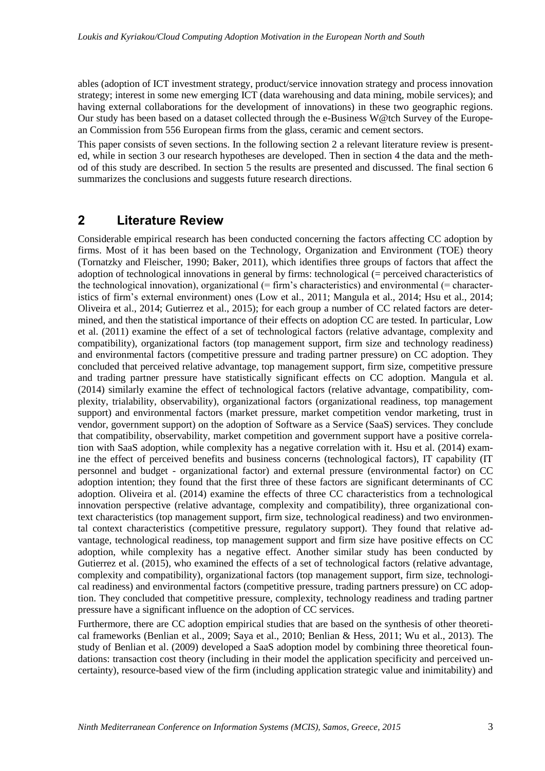ables (adoption of ICT investment strategy, product/service innovation strategy and process innovation strategy; interest in some new emerging ICT (data warehousing and data mining, mobile services); and having external collaborations for the development of innovations) in these two geographic regions. Our study has been based on a dataset collected through the e-Business W@tch Survey of the European Commission from 556 European firms from the glass, ceramic and cement sectors.

This paper consists of seven sections. In the following section 2 a relevant literature review is presented, while in section 3 our research hypotheses are developed. Then in section 4 the data and the method of this study are described. In section 5 the results are presented and discussed. The final section 6 summarizes the conclusions and suggests future research directions.

# **2 Literature Review**

Considerable empirical research has been conducted concerning the factors affecting CC adoption by firms. Most of it has been based on the Technology, Organization and Environment (TOE) theory (Tornatzky and Fleischer, 1990; Baker, 2011), which identifies three groups of factors that affect the adoption of technological innovations in general by firms: technological (= perceived characteristics of the technological innovation), organizational  $(=$  firm's characteristics) and environmental  $(=$  characteristics of firm's external environment) ones (Low et al., 2011; Mangula et al., 2014; Hsu et al., 2014; Oliveira et al., 2014; Gutierrez et al., 2015); for each group a number of CC related factors are determined, and then the statistical importance of their effects on adoption CC are tested. In particular, Low et al. (2011) examine the effect of a set of technological factors (relative advantage, complexity and compatibility), organizational factors (top management support, firm size and technology readiness) and environmental factors (competitive pressure and trading partner pressure) on CC adoption. They concluded that perceived relative advantage, top management support, firm size, competitive pressure and trading partner pressure have statistically significant effects on CC adoption. Mangula et al. (2014) similarly examine the effect of technological factors (relative advantage, compatibility, complexity, trialability, observability), organizational factors (organizational readiness, top management support) and environmental factors (market pressure, market competition vendor marketing, trust in vendor, government support) on the adoption of Software as a Service (SaaS) services. They conclude that compatibility, observability, market competition and government support have a positive correlation with SaaS adoption, while complexity has a negative correlation with it. Hsu et al. (2014) examine the effect of perceived benefits and business concerns (technological factors), IT capability (IT personnel and budget - organizational factor) and external pressure (environmental factor) on CC adoption intention; they found that the first three of these factors are significant determinants of CC adoption. Oliveira et al. (2014) examine the effects of three CC characteristics from a technological innovation perspective (relative advantage, complexity and compatibility), three organizational context characteristics (top management support, firm size, technological readiness) and two environmental context characteristics (competitive pressure, regulatory support). They found that relative advantage, technological readiness, top management support and firm size have positive effects on CC adoption, while complexity has a negative effect. Another similar study has been conducted by Gutierrez et al. (2015), who examined the effects of a set of technological factors (relative advantage, complexity and compatibility), organizational factors (top management support, firm size, technological readiness) and environmental factors (competitive pressure, trading partners pressure) on CC adoption. They concluded that competitive pressure, complexity, technology readiness and trading partner pressure have a significant influence on the adoption of CC services.

Furthermore, there are CC adoption empirical studies that are based on the synthesis of other theoretical frameworks (Benlian et al., 2009; Saya et al., 2010; Benlian & Hess, 2011; Wu et al., 2013). The study of Benlian et al. (2009) developed a SaaS adoption model by combining three theoretical foundations: transaction cost theory (including in their model the application specificity and perceived uncertainty), resource-based view of the firm (including application strategic value and inimitability) and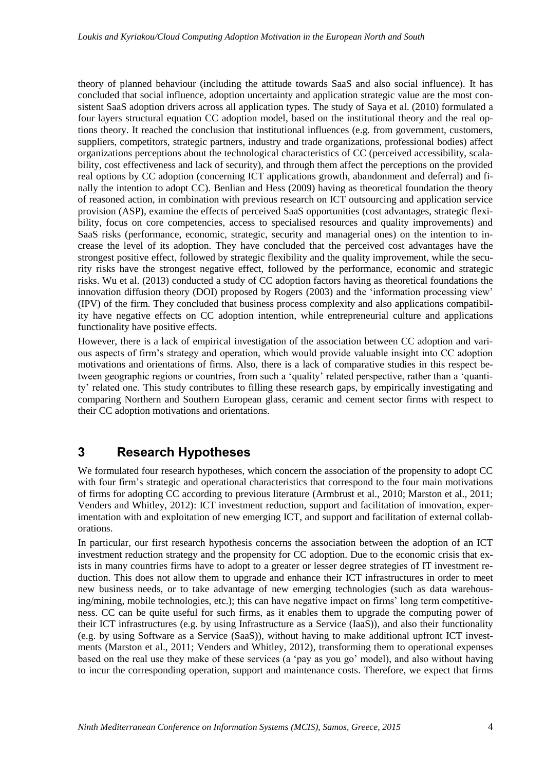theory of planned behaviour (including the attitude towards SaaS and also social influence). It has concluded that social influence, adoption uncertainty and application strategic value are the most consistent SaaS adoption drivers across all application types. The study of Saya et al. (2010) formulated a four layers structural equation CC adoption model, based on the institutional theory and the real options theory. It reached the conclusion that institutional influences (e.g. from government, customers, suppliers, competitors, strategic partners, industry and trade organizations, professional bodies) affect organizations perceptions about the technological characteristics of CC (perceived accessibility, scalability, cost effectiveness and lack of security), and through them affect the perceptions on the provided real options by CC adoption (concerning ICT applications growth, abandonment and deferral) and finally the intention to adopt CC). Benlian and Hess (2009) having as theoretical foundation the theory of reasoned action, in combination with previous research on ICT outsourcing and application service provision (ASP), examine the effects of perceived SaaS opportunities (cost advantages, strategic flexibility, focus on core competencies, access to specialised resources and quality improvements) and SaaS risks (performance, economic, strategic, security and managerial ones) on the intention to increase the level of its adoption. They have concluded that the perceived cost advantages have the strongest positive effect, followed by strategic flexibility and the quality improvement, while the security risks have the strongest negative effect, followed by the performance, economic and strategic risks. Wu et al. (2013) conducted a study of CC adoption factors having as theoretical foundations the innovation diffusion theory (DOI) proposed by Rogers (2003) and the 'information processing view' (IPV) of the firm. They concluded that business process complexity and also applications compatibility have negative effects on CC adoption intention, while entrepreneurial culture and applications functionality have positive effects.

However, there is a lack of empirical investigation of the association between CC adoption and various aspects of firm's strategy and operation, which would provide valuable insight into CC adoption motivations and orientations of firms. Also, there is a lack of comparative studies in this respect between geographic regions or countries, from such a 'quality' related perspective, rather than a 'quantity' related one. This study contributes to filling these research gaps, by empirically investigating and comparing Northern and Southern European glass, ceramic and cement sector firms with respect to their CC adoption motivations and orientations.

# **3 Research Hypotheses**

We formulated four research hypotheses, which concern the association of the propensity to adopt CC with four firm's strategic and operational characteristics that correspond to the four main motivations of firms for adopting CC according to previous literature (Armbrust et al., 2010; Marston et al., 2011; Venders and Whitley, 2012): ICT investment reduction, support and facilitation of innovation, experimentation with and exploitation of new emerging ICT, and support and facilitation of external collaborations.

In particular, our first research hypothesis concerns the association between the adoption of an ICT investment reduction strategy and the propensity for CC adoption. Due to the economic crisis that exists in many countries firms have to adopt to a greater or lesser degree strategies of IT investment reduction. This does not allow them to upgrade and enhance their ICT infrastructures in order to meet new business needs, or to take advantage of new emerging technologies (such as data warehousing/mining, mobile technologies, etc.); this can have negative impact on firms' long term competitiveness. CC can be quite useful for such firms, as it enables them to upgrade the computing power of their ICT infrastructures (e.g. by using Infrastructure as a Service (IaaS)), and also their functionality (e.g. by using Software as a Service (SaaS)), without having to make additional upfront ICT investments (Marston et al., 2011; Venders and Whitley, 2012), transforming them to operational expenses based on the real use they make of these services (a 'pay as you go' model), and also without having to incur the corresponding operation, support and maintenance costs. Therefore, we expect that firms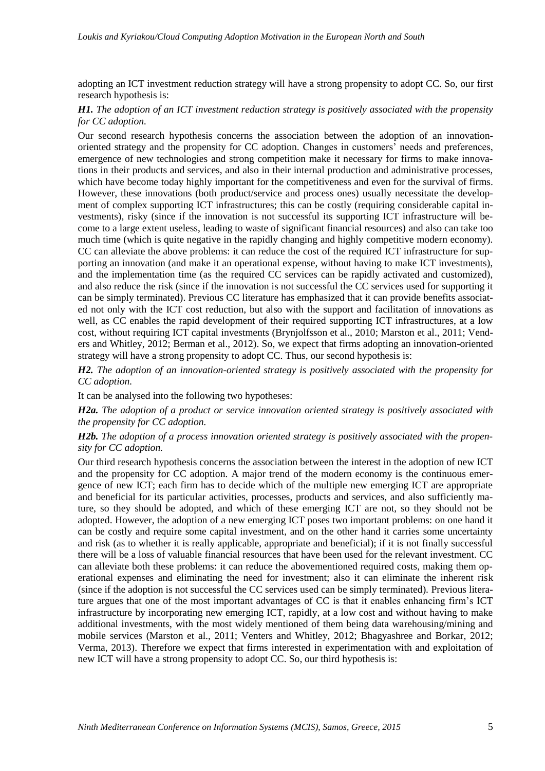adopting an ICT investment reduction strategy will have a strong propensity to adopt CC. So, our first research hypothesis is:

#### *H1. The adoption of an ICT investment reduction strategy is positively associated with the propensity for CC adoption.*

Our second research hypothesis concerns the association between the adoption of an innovationoriented strategy and the propensity for CC adoption. Changes in customers' needs and preferences, emergence of new technologies and strong competition make it necessary for firms to make innovations in their products and services, and also in their internal production and administrative processes, which have become today highly important for the competitiveness and even for the survival of firms. However, these innovations (both product/service and process ones) usually necessitate the development of complex supporting ICT infrastructures; this can be costly (requiring considerable capital investments), risky (since if the innovation is not successful its supporting ICT infrastructure will become to a large extent useless, leading to waste of significant financial resources) and also can take too much time (which is quite negative in the rapidly changing and highly competitive modern economy). CC can alleviate the above problems: it can reduce the cost of the required ICT infrastructure for supporting an innovation (and make it an operational expense, without having to make ICT investments), and the implementation time (as the required CC services can be rapidly activated and customized), and also reduce the risk (since if the innovation is not successful the CC services used for supporting it can be simply terminated). Previous CC literature has emphasized that it can provide benefits associated not only with the ICT cost reduction, but also with the support and facilitation of innovations as well, as CC enables the rapid development of their required supporting ICT infrastructures, at a low cost, without requiring ICT capital investments (Brynjolfsson et al., 2010; Marston et al., 2011; Venders and Whitley, 2012; Berman et al., 2012). So, we expect that firms adopting an innovation-oriented strategy will have a strong propensity to adopt CC. Thus, our second hypothesis is:

*H2. The adoption of an innovation-oriented strategy is positively associated with the propensity for CC adoption.*

It can be analysed into the following two hypotheses:

*H2a. The adoption of a product or service innovation oriented strategy is positively associated with the propensity for CC adoption.* 

*H2b. The adoption of a process innovation oriented strategy is positively associated with the propensity for CC adoption.* 

Our third research hypothesis concerns the association between the interest in the adoption of new ICT and the propensity for CC adoption. A major trend of the modern economy is the continuous emergence of new ICT; each firm has to decide which of the multiple new emerging ICT are appropriate and beneficial for its particular activities, processes, products and services, and also sufficiently mature, so they should be adopted, and which of these emerging ICT are not, so they should not be adopted. However, the adoption of a new emerging ICT poses two important problems: on one hand it can be costly and require some capital investment, and on the other hand it carries some uncertainty and risk (as to whether it is really applicable, appropriate and beneficial); if it is not finally successful there will be a loss of valuable financial resources that have been used for the relevant investment. CC can alleviate both these problems: it can reduce the abovementioned required costs, making them operational expenses and eliminating the need for investment; also it can eliminate the inherent risk (since if the adoption is not successful the CC services used can be simply terminated). Previous literature argues that one of the most important advantages of CC is that it enables enhancing firm's ICT infrastructure by incorporating new emerging ICT, rapidly, at a low cost and without having to make additional investments, with the most widely mentioned of them being data warehousing/mining and mobile services (Marston et al., 2011; Venters and Whitley, 2012; Bhagyashree and Borkar, 2012; Verma, 2013). Therefore we expect that firms interested in experimentation with and exploitation of new ICT will have a strong propensity to adopt CC. So, our third hypothesis is: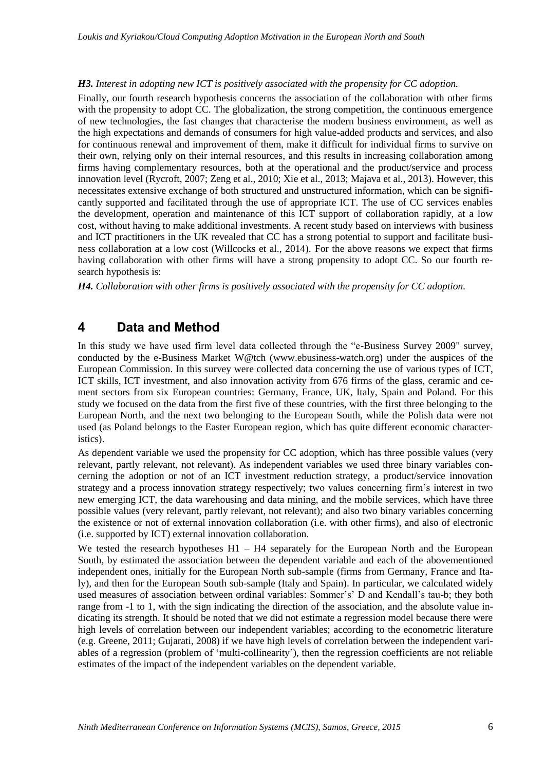#### *H3. Interest in adopting new ICT is positively associated with the propensity for CC adoption.*

Finally, our fourth research hypothesis concerns the association of the collaboration with other firms with the propensity to adopt CC. The globalization, the strong competition, the continuous emergence of new technologies, the fast changes that characterise the modern business environment, as well as the high expectations and demands of consumers for high value-added products and services, and also for continuous renewal and improvement of them, make it difficult for individual firms to survive on their own, relying only on their internal resources, and this results in increasing collaboration among firms having complementary resources, both at the operational and the product/service and process innovation level (Rycroft, 2007; Zeng et al., 2010; Xie et al., 2013; Majava et al., 2013). However, this necessitates extensive exchange of both structured and unstructured information, which can be significantly supported and facilitated through the use of appropriate ICT. The use of CC services enables the development, operation and maintenance of this ICT support of collaboration rapidly, at a low cost, without having to make additional investments. A recent study based on interviews with business and ICT practitioners in the UK revealed that CC has a strong potential to support and facilitate business collaboration at a low cost (Willcocks et al., 2014). For the above reasons we expect that firms having collaboration with other firms will have a strong propensity to adopt CC. So our fourth research hypothesis is:

*H4. Collaboration with other firms is positively associated with the propensity for CC adoption.*

# **4 Data and Method**

In this study we have used firm level data collected through the "e-Business Survey 2009" survey, conducted by the e-Business Market W@tch (www.ebusiness-watch.org) under the auspices of the European Commission. In this survey were collected data concerning the use of various types of ICT, ICT skills, ICT investment, and also innovation activity from 676 firms of the glass, ceramic and cement sectors from six European countries: Germany, France, UK, Italy, Spain and Poland. For this study we focused on the data from the first five of these countries, with the first three belonging to the European North, and the next two belonging to the European South, while the Polish data were not used (as Poland belongs to the Easter European region, which has quite different economic characteristics).

As dependent variable we used the propensity for CC adoption, which has three possible values (very relevant, partly relevant, not relevant). As independent variables we used three binary variables concerning the adoption or not of an ICT investment reduction strategy, a product/service innovation strategy and a process innovation strategy respectively; two values concerning firm's interest in two new emerging ICT, the data warehousing and data mining, and the mobile services, which have three possible values (very relevant, partly relevant, not relevant); and also two binary variables concerning the existence or not of external innovation collaboration (i.e. with other firms), and also of electronic (i.e. supported by ICT) external innovation collaboration.

We tested the research hypotheses H1 – H4 separately for the European North and the European South, by estimated the association between the dependent variable and each of the abovementioned independent ones, initially for the European North sub-sample (firms from Germany, France and Italy), and then for the European South sub-sample (Italy and Spain). In particular, we calculated widely used measures of association between ordinal variables: Sommer's' D and Kendall's tau-b; they both range from -1 to 1, with the sign indicating the direction of the association, and the absolute value indicating its strength. It should be noted that we did not estimate a regression model because there were high levels of correlation between our independent variables; according to the econometric literature (e.g. Greene, 2011; Gujarati, 2008) if we have high levels of correlation between the independent variables of a regression (problem of 'multi-collinearity'), then the regression coefficients are not reliable estimates of the impact of the independent variables on the dependent variable.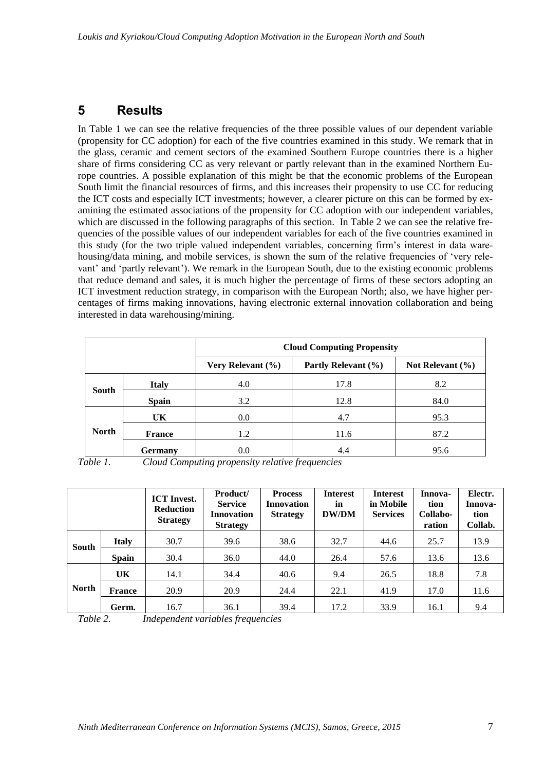# **5 Results**

In Table 1 we can see the relative frequencies of the three possible values of our dependent variable (propensity for CC adoption) for each of the five countries examined in this study. We remark that in the glass, ceramic and cement sectors of the examined Southern Europe countries there is a higher share of firms considering CC as very relevant or partly relevant than in the examined Northern Europe countries. A possible explanation of this might be that the economic problems of the European South limit the financial resources of firms, and this increases their propensity to use CC for reducing the ICT costs and especially ICT investments; however, a clearer picture on this can be formed by examining the estimated associations of the propensity for CC adoption with our independent variables, which are discussed in the following paragraphs of this section. In Table 2 we can see the relative frequencies of the possible values of our independent variables for each of the five countries examined in this study (for the two triple valued independent variables, concerning firm's interest in data warehousing/data mining, and mobile services, is shown the sum of the relative frequencies of 'very relevant' and 'partly relevant'). We remark in the European South, due to the existing economic problems that reduce demand and sales, it is much higher the percentage of firms of these sectors adopting an ICT investment reduction strategy, in comparison with the European North; also, we have higher percentages of firms making innovations, having electronic external innovation collaboration and being interested in data warehousing/mining.

|              |                | <b>Cloud Computing Propensity</b> |                     |                      |  |
|--------------|----------------|-----------------------------------|---------------------|----------------------|--|
|              |                | Very Relevant $(\% )$             | Partly Relevant (%) | Not Relevant $(\% )$ |  |
| South        | <b>Italy</b>   | 4.0                               | 17.8                | 8.2                  |  |
|              | <b>Spain</b>   | 3.2                               | 12.8                | 84.0                 |  |
|              | UK             | 0.0                               | 4.7                 | 95.3                 |  |
| <b>North</b> | <b>France</b>  | 1.2                               | 11.6                | 87.2                 |  |
|              | <b>Germany</b> | $0.0\,$                           | 4.4                 | 95.6                 |  |

*Table 1. Cloud Computing propensity relative frequencies*

|              |               | <b>ICT</b> Invest.<br><b>Reduction</b><br><b>Strategy</b> | Product/<br><b>Service</b><br><b>Innovation</b><br><b>Strategy</b> | <b>Process</b><br><b>Innovation</b><br><b>Strategy</b> | <b>Interest</b><br>in<br><b>DW/DM</b> | <b>Interest</b><br>in Mobile<br><b>Services</b> | Innova-<br>tion<br>Collabo-<br>ration | Electr.<br>Innova-<br>tion<br>Collab. |
|--------------|---------------|-----------------------------------------------------------|--------------------------------------------------------------------|--------------------------------------------------------|---------------------------------------|-------------------------------------------------|---------------------------------------|---------------------------------------|
| <b>South</b> | <b>Italy</b>  | 30.7                                                      | 39.6                                                               | 38.6                                                   | 32.7                                  | 44.6                                            | 25.7                                  | 13.9                                  |
|              | <b>Spain</b>  | 30.4                                                      | 36.0                                                               | 44.0                                                   | 26.4                                  | 57.6                                            | 13.6                                  | 13.6                                  |
| <b>North</b> | <b>UK</b>     | 14.1                                                      | 34.4                                                               | 40.6                                                   | 9.4                                   | 26.5                                            | 18.8                                  | 7.8                                   |
|              | <b>France</b> | 20.9                                                      | 20.9                                                               | 24.4                                                   | 22.1                                  | 41.9                                            | 17.0                                  | 11.6                                  |
|              | Germ.         | 16.7                                                      | 36.1                                                               | 39.4                                                   | 17.2                                  | 33.9                                            | 16.1                                  | 9.4                                   |

*Table 2. Independent variables frequencies*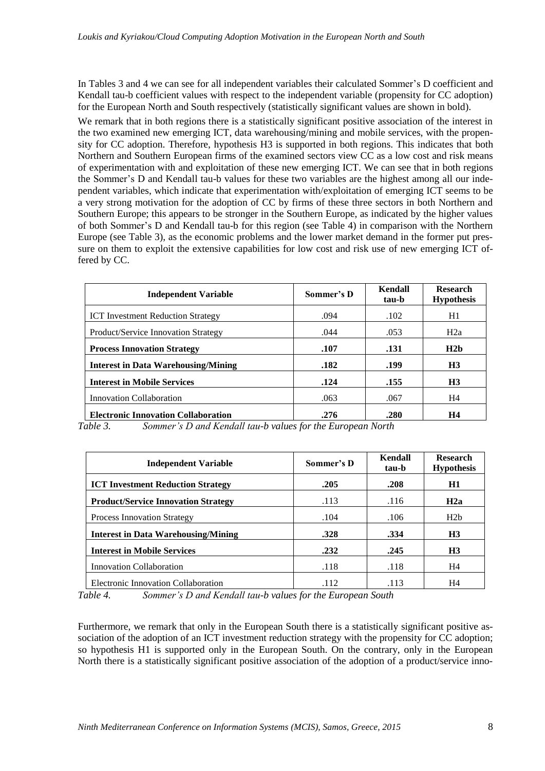In Tables 3 and 4 we can see for all independent variables their calculated Sommer's D coefficient and Kendall tau-b coefficient values with respect to the independent variable (propensity for CC adoption) for the European North and South respectively (statistically significant values are shown in bold).

We remark that in both regions there is a statistically significant positive association of the interest in the two examined new emerging ICT, data warehousing/mining and mobile services, with the propensity for CC adoption. Therefore, hypothesis H3 is supported in both regions. This indicates that both Northern and Southern European firms of the examined sectors view CC as a low cost and risk means of experimentation with and exploitation of these new emerging ICT. We can see that in both regions the Sommer's D and Kendall tau-b values for these two variables are the highest among all our independent variables, which indicate that experimentation with/exploitation of emerging ICT seems to be a very strong motivation for the adoption of CC by firms of these three sectors in both Northern and Southern Europe; this appears to be stronger in the Southern Europe, as indicated by the higher values of both Sommer's D and Kendall tau-b for this region (see Table 4) in comparison with the Northern Europe (see Table 3), as the economic problems and the lower market demand in the former put pressure on them to exploit the extensive capabilities for low cost and risk use of new emerging ICT offered by CC.

| <b>Independent Variable</b>                | Sommer's D | Kendall<br>tau-b | <b>Research</b><br><b>Hypothesis</b> |
|--------------------------------------------|------------|------------------|--------------------------------------|
| <b>ICT</b> Investment Reduction Strategy   | .094       | .102             | H1                                   |
| Product/Service Innovation Strategy        | .044       | .053             | H2a                                  |
| <b>Process Innovation Strategy</b>         | .107       | .131             | H2h                                  |
| Interest in Data Warehousing/Mining        | .182       | .199             | H <sub>3</sub>                       |
| <b>Interest in Mobile Services</b>         | .124       | .155             | H <sub>3</sub>                       |
| Innovation Collaboration                   | .063       | .067             | H4                                   |
| <b>Electronic Innovation Collaboration</b> | .276       | .280             | H4                                   |

*Table 3. Sommer's D and Kendall tau-b values for the European North*

| <b>Independent Variable</b>                | Sommer's D | Kendall<br>tau-b | <b>Research</b><br><b>Hypothesis</b> |
|--------------------------------------------|------------|------------------|--------------------------------------|
| <b>ICT Investment Reduction Strategy</b>   | .205       | .208             | H1                                   |
| <b>Product/Service Innovation Strategy</b> | .113       | .116             | H2a                                  |
| <b>Process Innovation Strategy</b>         | .104       | .106             | H2b                                  |
| Interest in Data Warehousing/Mining        | .328       | .334             | H <sub>3</sub>                       |
| <b>Interest in Mobile Services</b>         | .232       | .245             | H <sub>3</sub>                       |
| Innovation Collaboration                   | .118       | .118             | H4                                   |
| Electronic Innovation Collaboration        | .112       | .113             | H4                                   |

*Table 4. Sommer's D and Kendall tau-b values for the European South*

Furthermore, we remark that only in the European South there is a statistically significant positive association of the adoption of an ICT investment reduction strategy with the propensity for CC adoption; so hypothesis H1 is supported only in the European South. On the contrary, only in the European North there is a statistically significant positive association of the adoption of a product/service inno-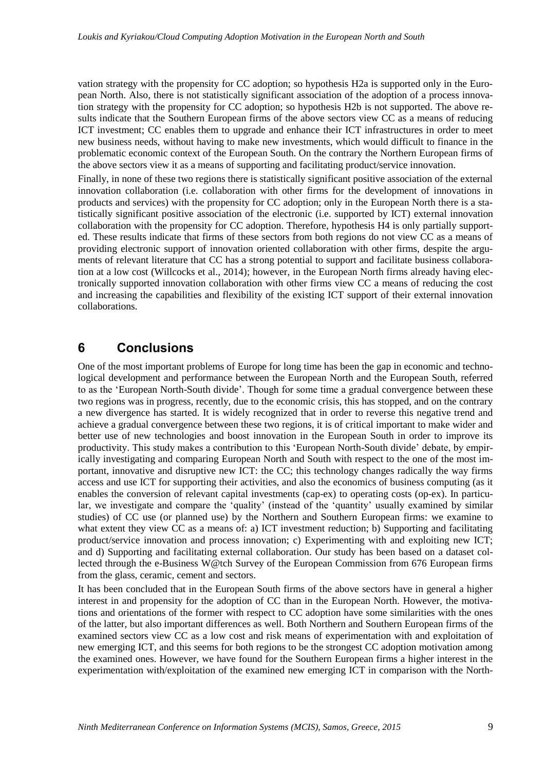vation strategy with the propensity for CC adoption; so hypothesis H2a is supported only in the European North. Also, there is not statistically significant association of the adoption of a process innovation strategy with the propensity for CC adoption; so hypothesis H2b is not supported. The above results indicate that the Southern European firms of the above sectors view CC as a means of reducing ICT investment; CC enables them to upgrade and enhance their ICT infrastructures in order to meet new business needs, without having to make new investments, which would difficult to finance in the problematic economic context of the European South. On the contrary the Northern European firms of the above sectors view it as a means of supporting and facilitating product/service innovation.

Finally, in none of these two regions there is statistically significant positive association of the external innovation collaboration (i.e. collaboration with other firms for the development of innovations in products and services) with the propensity for CC adoption; only in the European North there is a statistically significant positive association of the electronic (i.e. supported by ICT) external innovation collaboration with the propensity for CC adoption. Therefore, hypothesis H4 is only partially supported. These results indicate that firms of these sectors from both regions do not view CC as a means of providing electronic support of innovation oriented collaboration with other firms, despite the arguments of relevant literature that CC has a strong potential to support and facilitate business collaboration at a low cost (Willcocks et al., 2014); however, in the European North firms already having electronically supported innovation collaboration with other firms view CC a means of reducing the cost and increasing the capabilities and flexibility of the existing ICT support of their external innovation collaborations.

# **6 Conclusions**

One of the most important problems of Europe for long time has been the gap in economic and technological development and performance between the European North and the European South, referred to as the 'European North-South divide'. Though for some time a gradual convergence between these two regions was in progress, recently, due to the economic crisis, this has stopped, and on the contrary a new divergence has started. It is widely recognized that in order to reverse this negative trend and achieve a gradual convergence between these two regions, it is of critical important to make wider and better use of new technologies and boost innovation in the European South in order to improve its productivity. This study makes a contribution to this 'European North-South divide' debate, by empirically investigating and comparing European North and South with respect to the one of the most important, innovative and disruptive new ICT: the CC; this technology changes radically the way firms access and use ICT for supporting their activities, and also the economics of business computing (as it enables the conversion of relevant capital investments (cap-ex) to operating costs (op-ex). In particular, we investigate and compare the 'quality' (instead of the 'quantity' usually examined by similar studies) of CC use (or planned use) by the Northern and Southern European firms: we examine to what extent they view CC as a means of: a) ICT investment reduction; b) Supporting and facilitating product/service innovation and process innovation; c) Experimenting with and exploiting new ICT; and d) Supporting and facilitating external collaboration. Our study has been based on a dataset collected through the e-Business W@tch Survey of the European Commission from 676 European firms from the glass, ceramic, cement and sectors.

It has been concluded that in the European South firms of the above sectors have in general a higher interest in and propensity for the adoption of CC than in the European North. However, the motivations and orientations of the former with respect to CC adoption have some similarities with the ones of the latter, but also important differences as well. Both Northern and Southern European firms of the examined sectors view CC as a low cost and risk means of experimentation with and exploitation of new emerging ICT, and this seems for both regions to be the strongest CC adoption motivation among the examined ones. However, we have found for the Southern European firms a higher interest in the experimentation with/exploitation of the examined new emerging ICT in comparison with the North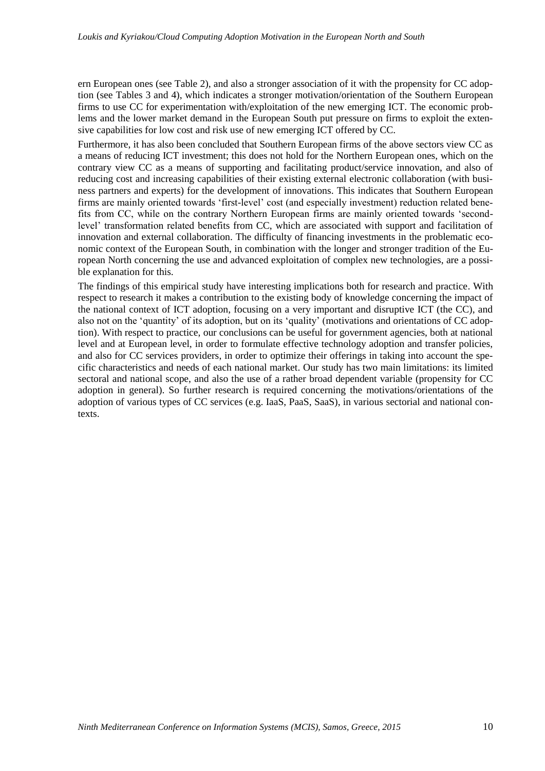ern European ones (see Table 2), and also a stronger association of it with the propensity for CC adoption (see Tables 3 and 4), which indicates a stronger motivation/orientation of the Southern European firms to use CC for experimentation with/exploitation of the new emerging ICT. The economic problems and the lower market demand in the European South put pressure on firms to exploit the extensive capabilities for low cost and risk use of new emerging ICT offered by CC.

Furthermore, it has also been concluded that Southern European firms of the above sectors view CC as a means of reducing ICT investment; this does not hold for the Northern European ones, which on the contrary view CC as a means of supporting and facilitating product/service innovation, and also of reducing cost and increasing capabilities of their existing external electronic collaboration (with business partners and experts) for the development of innovations. This indicates that Southern European firms are mainly oriented towards 'first-level' cost (and especially investment) reduction related benefits from CC, while on the contrary Northern European firms are mainly oriented towards 'secondlevel' transformation related benefits from CC, which are associated with support and facilitation of innovation and external collaboration. The difficulty of financing investments in the problematic economic context of the European South, in combination with the longer and stronger tradition of the European North concerning the use and advanced exploitation of complex new technologies, are a possible explanation for this.

The findings of this empirical study have interesting implications both for research and practice. With respect to research it makes a contribution to the existing body of knowledge concerning the impact of the national context of ICT adoption, focusing on a very important and disruptive ICT (the CC), and also not on the 'quantity' of its adoption, but on its 'quality' (motivations and orientations of CC adoption). With respect to practice, our conclusions can be useful for government agencies, both at national level and at European level, in order to formulate effective technology adoption and transfer policies, and also for CC services providers, in order to optimize their offerings in taking into account the specific characteristics and needs of each national market. Our study has two main limitations: its limited sectoral and national scope, and also the use of a rather broad dependent variable (propensity for CC adoption in general). So further research is required concerning the motivations/orientations of the adoption of various types of CC services (e.g. IaaS, PaaS, SaaS), in various sectorial and national contexts.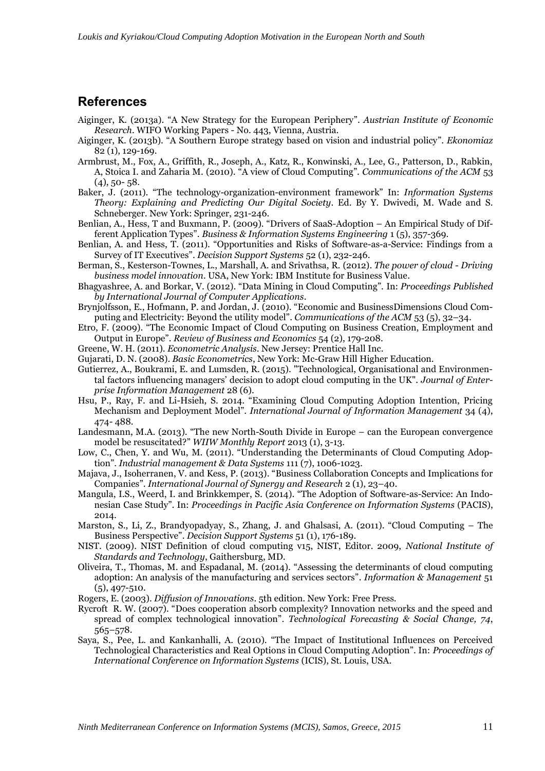#### **References**

- Aiginger, K. (2013a). "A New Strategy for the European Periphery". *Austrian Institute of Economic Research.* WIFO Working Papers - No. 443, Vienna, Austria.
- Aiginger, K. (2013b). "A Southern Europe strategy based on vision and industrial policy". *Ekonomiaz* 82 (1), 129-169.
- Armbrust, M., Fox, A., Griffith, R., Joseph, A., Katz, R., Konwinski, A., Lee, G., Patterson, D., Rabkin, A, Stoica I. and Zaharia M. (2010). "A view of Cloud Computing". *Communications of the ACM* 53  $(4)$ , 50- 58.
- Baker, J. (2011). "The technology-organization-environment framework" In: *Information Systems Theory: Explaining and Predicting Our Digital Society*. Ed. By Y. Dwivedi, M. Wade and S. Schneberger. New York: Springer, 231-246.
- Benlian, A., Hess, T and Buxmann, P. (2009). "Drivers of SaaS-Adoption An Empirical Study of Different Application Types". *Business & Information Systems Engineering* 1 (5), 357-369.
- Benlian, A. and Hess, T. (2011). "Opportunities and Risks of Software-as-a-Service: Findings from a Survey of IT Executives". *Decision Support Systems* 52 (1), 232-246.
- Berman, S., Kesterson-Townes, L., Marshall, A. and Srivathsa, R. (2012). *The power of cloud - Driving business model innovation*. USA, New York: IBM Institute for Business Value.
- Bhagyashree, A. and Borkar, V. (2012). "Data Mining in Cloud Computing". In: *Proceedings Published by International Journal of Computer Applications*.
- Brynjolfsson, E., Hofmann, P. and Jordan, J. (2010). "Economic and BusinessDimensions Cloud Computing and Electricity: Beyond the utility model". *Communications of the ACM* 53 (5), 32–34.
- Etro, F. (2009). "The Economic Impact of Cloud Computing on Business Creation, Employment and Output in Europe". *Review of Business and Economics* 54 (2), 179-208.
- Greene, W. H. (2011). *Econometric Analysis*. New Jersey: Prentice Hall Inc.
- Gujarati, D. N. (2008). *Basic Econometrics*, New York: Mc-Graw Hill Higher Education.
- Gutierrez, A., Boukrami, E. and Lumsden, R. (2015). "Technological, Organisational and Environmental factors influencing managers' decision to adopt cloud computing in the UK". *Journal of Enterprise Information Management* 28 (6).
- Hsu, P., Ray, F. and Li-Hsieh, S. 2014. "Examining Cloud Computing Adoption Intention, Pricing Mechanism and Deployment Model". *International Journal of Information Management* 34 (4), 474- 488.
- Landesmann, M.A. (2013). "The new North-South Divide in Europe can the European convergence model be resuscitated?" *WIIW Monthly Report* 2013 (1), 3-13.
- Low, C., Chen, Y. and Wu, M. (2011). "Understanding the Determinants of Cloud Computing Adoption". *Industrial management & Data Systems* 111 (7), 1006-1023.
- Majava, J., Isoherranen, V. and Kess, P. (2013). "Business Collaboration Concepts and Implications for Companies". *International Journal of Synergy and Research* 2 (1), 23–40.
- Mangula, I.S., Weerd, I. and Brinkkemper, S. (2014). "The Adoption of Software-as-Service: An Indonesian Case Study". In: *Proceedings in Pacific Asia Conference on Information Systems* (PACIS), 2014.
- Marston, S., Li, Z., Brandyopadyay, S., Zhang, J. and Ghalsasi, A. (2011). "Cloud Computing The Business Perspective". *Decision Support Systems* 51 (1), 176-189.
- NIST. (2009). NIST Definition of cloud computing v15, NIST, Editor. 2009, *National Institute of Standards and Technology*, Gaithersburg, MD.
- Oliveira, T., Thomas, M. and Espadanal, M. (2014). "Assessing the determinants of cloud computing adoption: An analysis of the manufacturing and services sectors". *Information & Management* 51 (5), 497-510.
- Rogers, E. (2003). *Diffusion of Innovations*. 5th edition. New York: Free Press.
- Rycroft R. W. (2007). "Does cooperation absorb complexity? Innovation networks and the speed and spread of complex technological innovation". *Technological Forecasting & Social Change, 74*, 565–578.
- Saya, S., Pee, L. and Kankanhalli, A. (2010). "The Impact of Institutional Influences on Perceived Technological Characteristics and Real Options in Cloud Computing Adoption". In: *Proceedings of International Conference on Information Systems* (ICIS), St. Louis, USA.